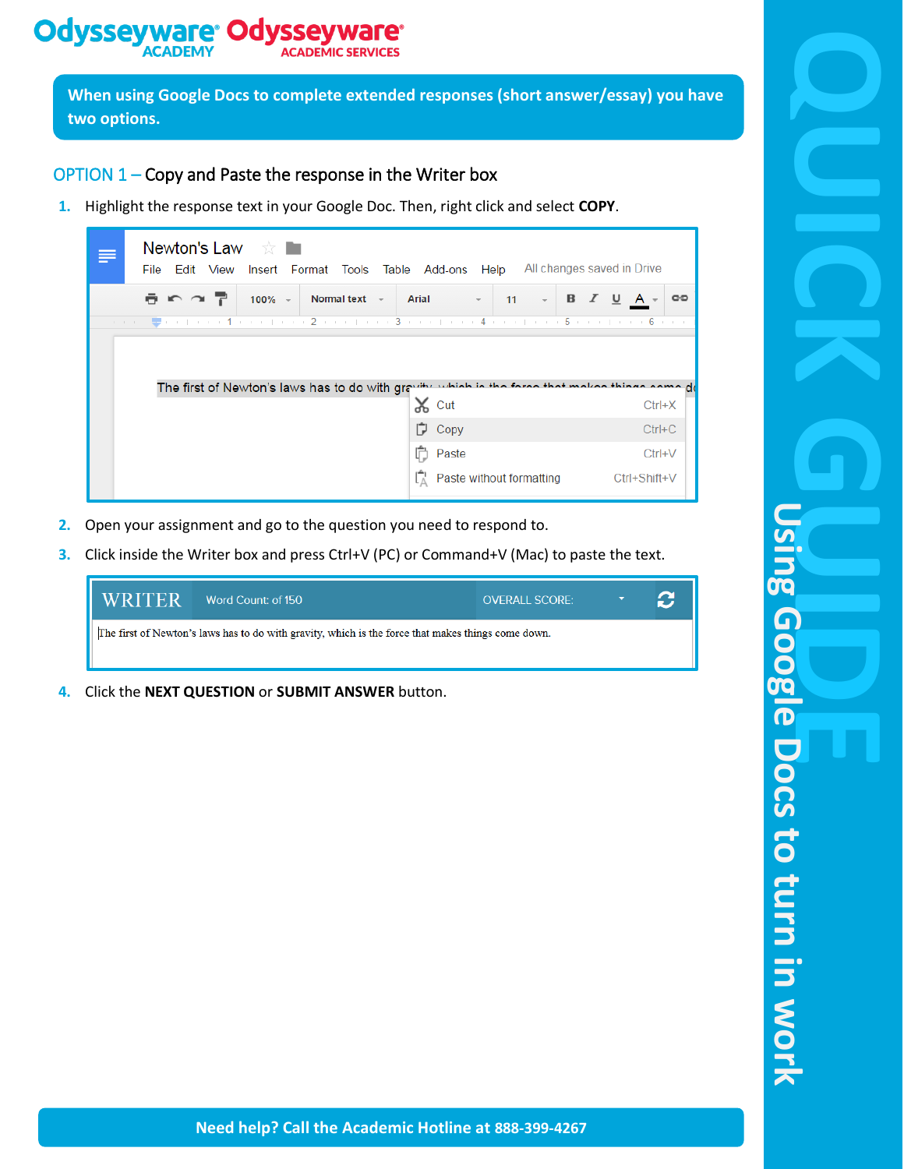## **Odysseyware® Odvssevwa**

**When using Google Docs to complete extended responses (short answer/essay) you have two options.**

## OPTION 1 – Copy and Paste the response in the Writer box

**1.** Highlight the response text in your Google Doc. Then, right click and select **COPY**.

| ▆ | Newton's Law<br>-≾≿ <b>II</b><br>Edit View<br>File                                            | Insert Format Tools Table Add-ons Help All changes saved in Drive |                                    |
|---|-----------------------------------------------------------------------------------------------|-------------------------------------------------------------------|------------------------------------|
|   | ラロッテ<br>$100\% -$<br><b>CONTRACTOR</b>                                                        | Normal text - Arial - 11 - B $I \cup$                             | GÐ<br>$A -$                        |
|   | The first of Newton's laws has to do with granity which is the force that makes things come d | $\mathsf{X}\,$ Cut<br>$\Box$ Copy<br>ñ<br>Paste                   | $Ctrl+X$<br>$Ctrl + C$<br>$Ctrl+V$ |
|   |                                                                                               | Paste without formatting                                          | Ctrl+Shift+V                       |

- **2.** Open your assignment and go to the question you need to respond to.
- **3.** Click inside the Writer box and press Ctrl+V (PC) or Command+V (Mac) to paste the text.



**4.** Click the **NEXT QUESTION** or **SUBMIT ANSWER** button.